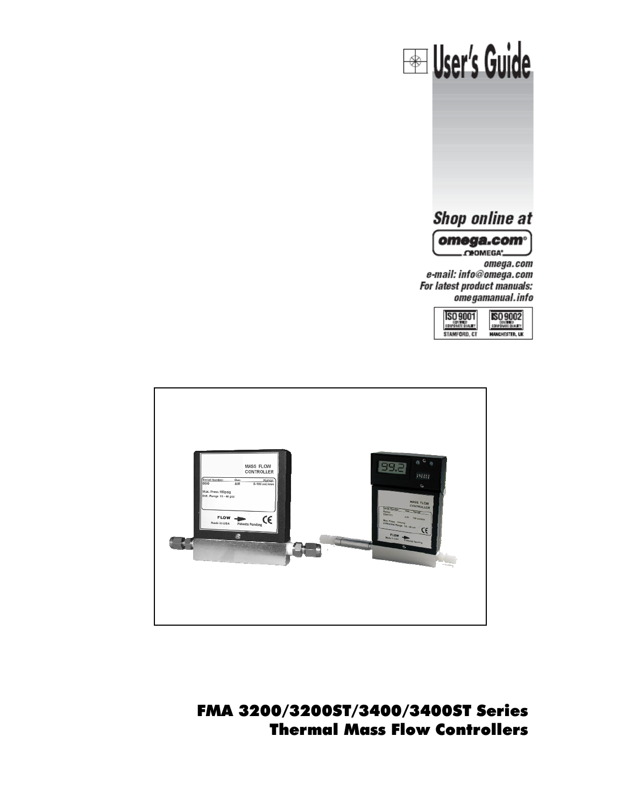



FMA 3200/3200ST/3400/3400ST Series Thermal Mass Flow Controllers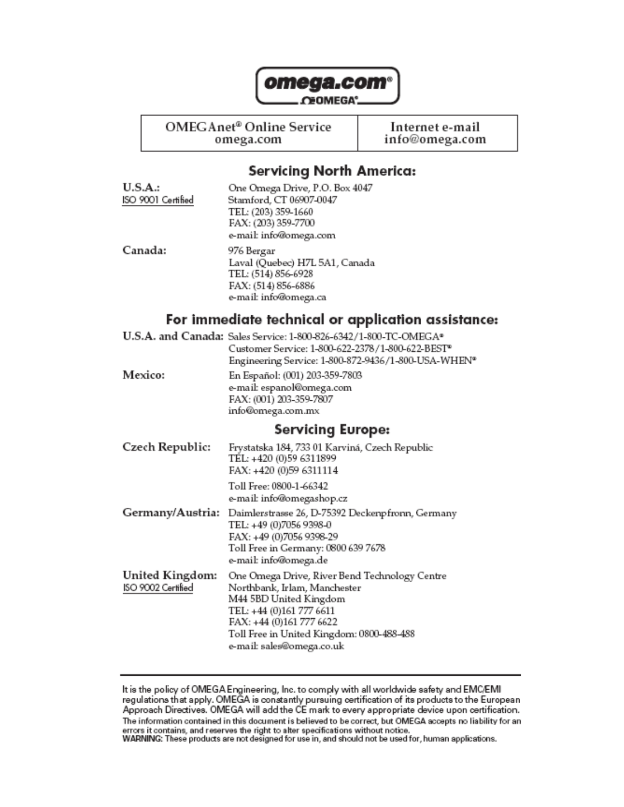

**CEOMEGA**<sup>\*</sup>

OMEGAnet<sup>®</sup> Online Service

omega.com

Internet e-mail info@omega.com

## **Servicing North America:**

| U.S.A.:            | One Omega Drive, P.O. Box 4047       |
|--------------------|--------------------------------------|
| ISO 9001 Certified | Stamford, CT 06907-0047              |
|                    | TEL: (203) 359-1660                  |
|                    | FAX: (203) 359-7700                  |
|                    | e-mail: info@omega.com               |
| Canada:            | 976 Bergar                           |
|                    | Laval (Quebec) H7L 5A1, Canada       |
|                    | TEL: (514) 856-6928                  |
|                    | FAX: (514) 856-6886                  |
|                    | e-mail: info@omega.ca                |
|                    | Ear inspeciónse teological ar applic |

### For immediate technical or application assistance:

|                  | U.S.A. and Canada: Sales Service: 1-800-826-6342/1-800-TC-OMEGA*<br>Customer Service: 1-800-622-2378/1-800-622-BEST <sup>®</sup><br>Engineering Service: 1-800-872-9436/1-800-USA-WHEN* |
|------------------|-----------------------------------------------------------------------------------------------------------------------------------------------------------------------------------------|
| Mexico:          | En Español: (001) 203-359-7803<br>e-mail: espanol@omega.com<br>FAX: (001) 203-359-7807<br>info@omega.com.mx                                                                             |
|                  | <b>Servicing Europe:</b>                                                                                                                                                                |
| Czech Republic:  | Frystatska 184, 733 01 Karviná, Czech Republic<br>TEL: +420 (0)59 6311899<br>FAX: +420 (0)59 6311114                                                                                    |
|                  | Toll Free: 0800-1-66342<br>e-mail: info@omegashop.cz                                                                                                                                    |
| Germany/Austria: | Daimlerstrasse 26, D-75392 Deckenpfronn, Germany<br>TEL: +49 (0)7056 9398-0<br>FAX: +49 (0)7056 9398-29<br>Toll Free in Germany: 0800 639 7678                                          |

| United Kingdom:    | One Omega Drive, River Bend Technology Centre |
|--------------------|-----------------------------------------------|
| ISO 9002 Certified | Northbank, Irlam, Manchester                  |
|                    | M44 5BD United Kingdom                        |
|                    | TEL: +44 (0)161 777 6611                      |
|                    | FAX: +44 (0)161 777 6622                      |
|                    | Toll Free in United Kingdom: 0800-488-488     |
|                    | e-mail: sales@omega.co.uk                     |
|                    |                                               |

e-mail: info@omega.de

It is the policy of OMEGA Engineering, Inc. to comply with all worldwide safety and EMC/EMI<br>regulations that apply. OMEGA is constantly pursuing certification of its products to the European<br>Approach Directives. OMEGA will The information contained in this document is believed to be correct, but OMEGA accepts no liability for an errors it contains, and reserves the right to alter specifications without notice.<br>WARNING: These products are not designed for use in, and should not be used for, human applications.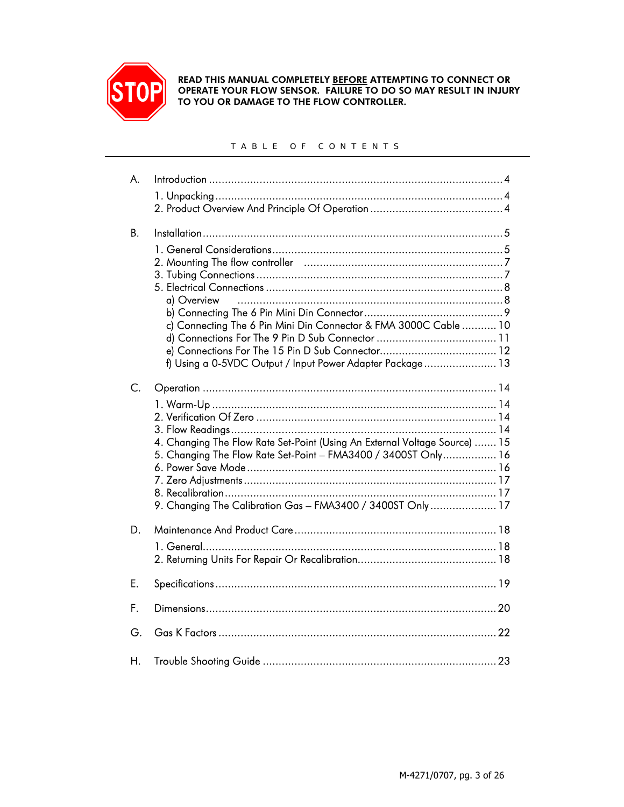

READ THIS MANUAL COMPLETELY BEFORE ATTEMPTING TO CONNECT OR OPERATE YOUR FLOW SENSOR. FAILURE TO DO SO MAY RESULT IN INJURY TO YOU OR DAMAGE TO THE FLOW CONTROLLER.

#### TABLE OF CONTENTS

| A.          |                                                                            |
|-------------|----------------------------------------------------------------------------|
|             |                                                                            |
|             |                                                                            |
|             |                                                                            |
| <b>B.</b>   |                                                                            |
|             |                                                                            |
|             |                                                                            |
|             |                                                                            |
|             |                                                                            |
|             | a) Overview                                                                |
|             |                                                                            |
|             | c) Connecting The 6 Pin Mini Din Connector & FMA 3000C Cable  10           |
|             |                                                                            |
|             | f) Using a 0-5VDC Output / Input Power Adapter Package 13                  |
|             |                                                                            |
| $C_{\cdot}$ |                                                                            |
|             |                                                                            |
|             |                                                                            |
|             |                                                                            |
|             | 4. Changing The Flow Rate Set-Point (Using An External Voltage Source)  15 |
|             | 5. Changing The Flow Rate Set-Point - FMA3400 / 3400ST Only 16             |
|             |                                                                            |
|             |                                                                            |
|             | 9. Changing The Calibration Gas - FMA3400 / 3400ST Only 17                 |
|             |                                                                            |
| D.          |                                                                            |
|             |                                                                            |
|             |                                                                            |
|             |                                                                            |
| E.          |                                                                            |
|             |                                                                            |
| F.          |                                                                            |
| G.          |                                                                            |
|             |                                                                            |
| Н.          |                                                                            |
|             |                                                                            |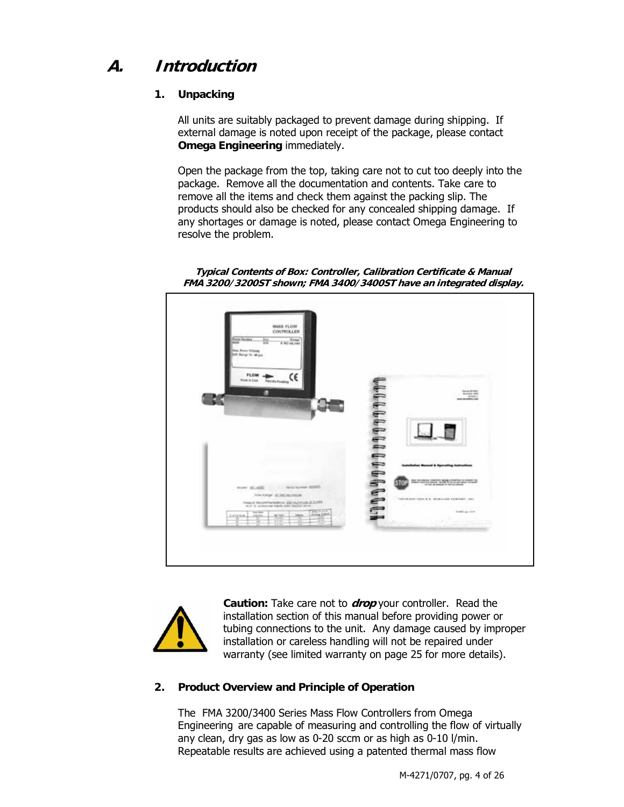# **A. Introduction**

#### **1. Unpacking**

All units are suitably packaged to prevent damage during shipping. If external damage is noted upon receipt of the package, please contact **Omega Engineering** immediately.

Open the package from the top, taking care not to cut too deeply into the package. Remove all the documentation and contents. Take care to remove all the items and check them against the packing slip. The products should also be checked for any concealed shipping damage. If any shortages or damage is noted, please contact Omega Engineering to resolve the problem.

**Typical Contents of Box: Controller, Calibration Certificate & Manual FMA 3200/3200ST shown; FMA 3400/3400ST have an integrated display.** 





**Caution:** Take care not to **drop** your controller. Read the installation section of this manual before providing power or tubing connections to the unit. Any damage caused by improper installation or careless handling will not be repaired under warranty (see limited warranty on page 25 for more details).

#### **2. Product Overview and Principle of Operation**

The FMA 3200/3400 Series Mass Flow Controllers from Omega Engineering are capable of measuring and controlling the flow of virtually any clean, dry gas as low as 0-20 sccm or as high as 0-10 l/min. Repeatable results are achieved using a patented thermal mass flow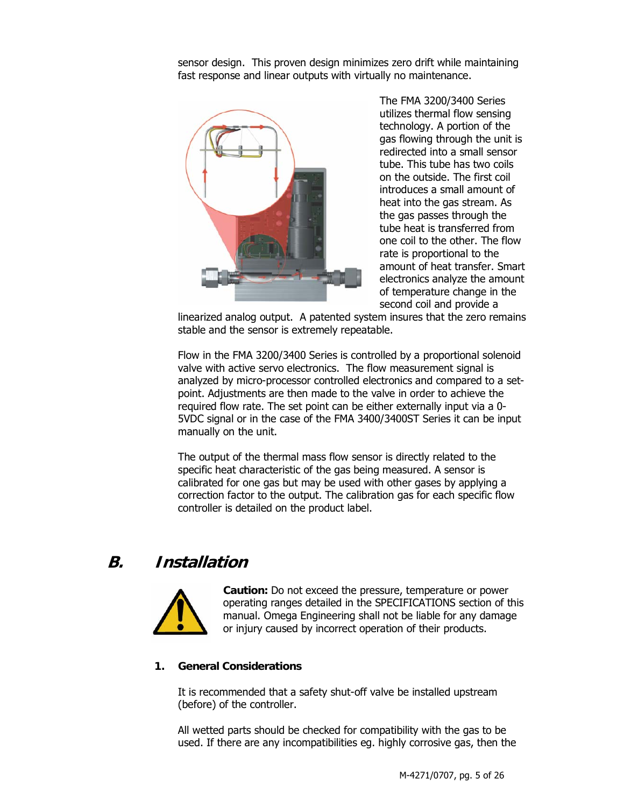sensor design. This proven design minimizes zero drift while maintaining fast response and linear outputs with virtually no maintenance.



The FMA 3200/3400 Series utilizes thermal flow sensing technology. A portion of the gas flowing through the unit is redirected into a small sensor tube. This tube has two coils on the outside. The first coil introduces a small amount of heat into the gas stream. As the gas passes through the tube heat is transferred from one coil to the other. The flow rate is proportional to the amount of heat transfer. Smart electronics analyze the amount of temperature change in the second coil and provide a

linearized analog output. A patented system insures that the zero remains stable and the sensor is extremely repeatable.

Flow in the FMA 3200/3400 Series is controlled by a proportional solenoid valve with active servo electronics. The flow measurement signal is analyzed by micro-processor controlled electronics and compared to a setpoint. Adjustments are then made to the valve in order to achieve the required flow rate. The set point can be either externally input via a 0- 5VDC signal or in the case of the FMA 3400/3400ST Series it can be input manually on the unit.

The output of the thermal mass flow sensor is directly related to the specific heat characteristic of the gas being measured. A sensor is calibrated for one gas but may be used with other gases by applying a correction factor to the output. The calibration gas for each specific flow controller is detailed on the product label.

## **B. Installation**



**Caution:** Do not exceed the pressure, temperature or power operating ranges detailed in the SPECIFICATIONS section of this manual. Omega Engineering shall not be liable for any damage or injury caused by incorrect operation of their products.

#### **1. General Considerations**

It is recommended that a safety shut-off valve be installed upstream (before) of the controller.

All wetted parts should be checked for compatibility with the gas to be used. If there are any incompatibilities eg. highly corrosive gas, then the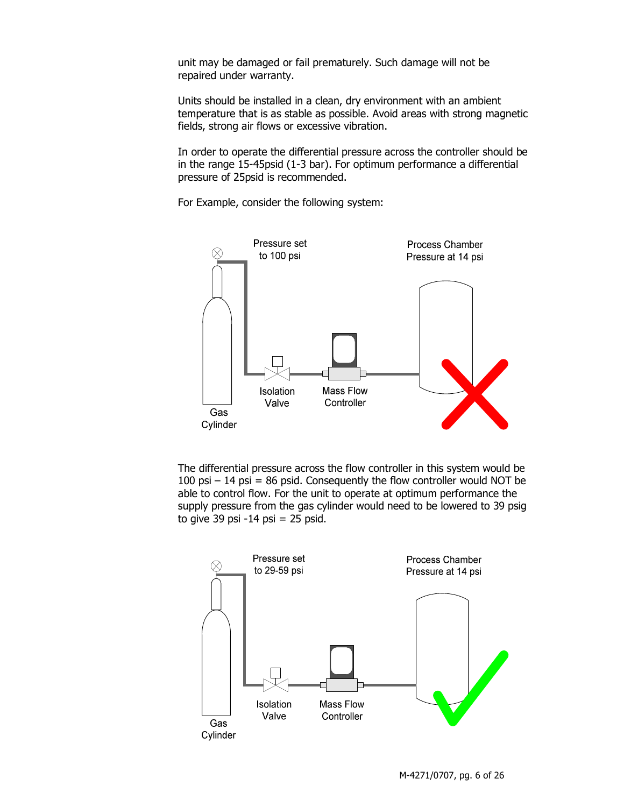unit may be damaged or fail prematurely. Such damage will not be repaired under warranty.

Units should be installed in a clean, dry environment with an ambient temperature that is as stable as possible. Avoid areas with strong magnetic fields, strong air flows or excessive vibration.

In order to operate the differential pressure across the controller should be in the range 15-45psid (1-3 bar). For optimum performance a differential pressure of 25psid is recommended.

For Example, consider the following system:



The differential pressure across the flow controller in this system would be 100 psi  $-14$  psi = 86 psid. Consequently the flow controller would NOT be able to control flow. For the unit to operate at optimum performance the supply pressure from the gas cylinder would need to be lowered to 39 psig to give 39 psi  $-14$  psi  $= 25$  psid.

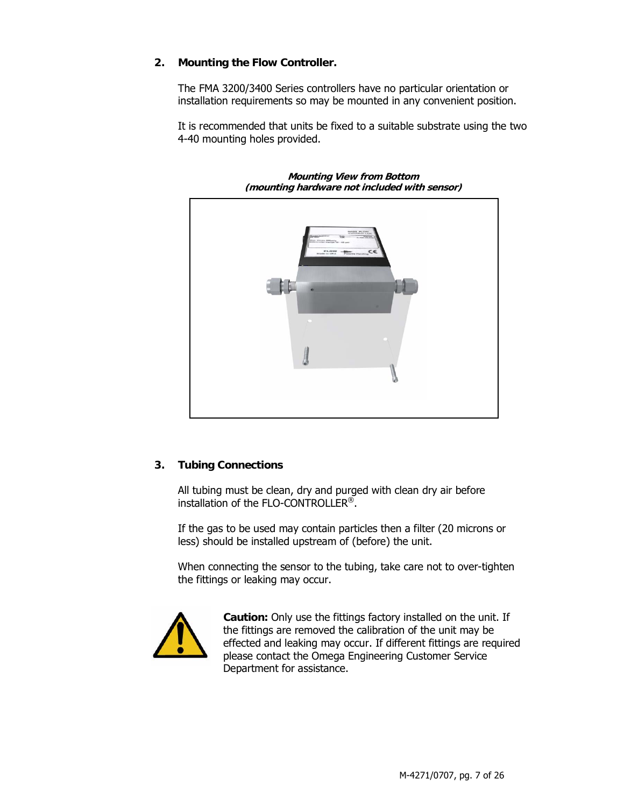#### **2. Mounting the Flow Controller.**

The FMA 3200/3400 Series controllers have no particular orientation or installation requirements so may be mounted in any convenient position.

It is recommended that units be fixed to a suitable substrate using the two 4-40 mounting holes provided.



**Mounting View from Bottom (mounting hardware not included with sensor)** 

#### **3. Tubing Connections**

All tubing must be clean, dry and purged with clean dry air before installation of the FLO-CONTROLLER®.

If the gas to be used may contain particles then a filter (20 microns or less) should be installed upstream of (before) the unit.

When connecting the sensor to the tubing, take care not to over-tighten the fittings or leaking may occur.



**Caution:** Only use the fittings factory installed on the unit. If the fittings are removed the calibration of the unit may be effected and leaking may occur. If different fittings are required please contact the Omega Engineering Customer Service Department for assistance.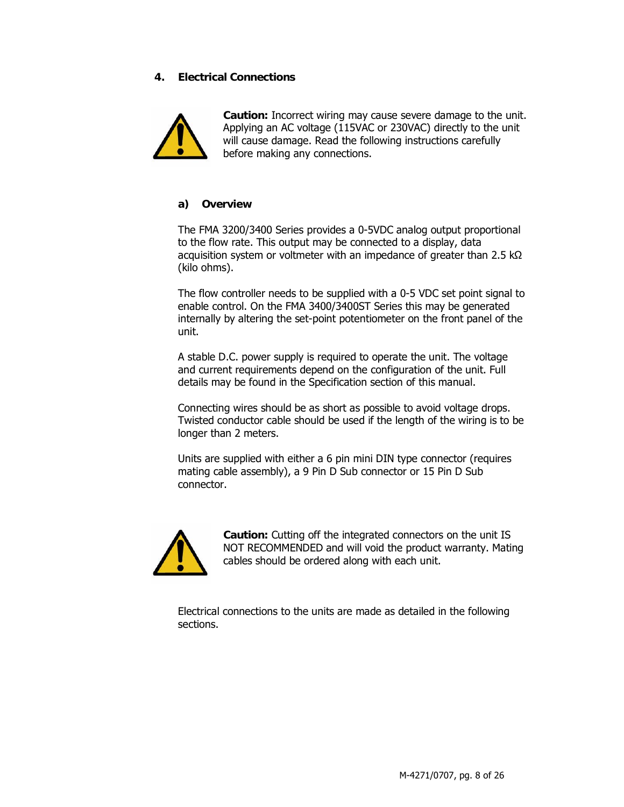#### **4. Electrical Connections**



**Caution:** Incorrect wiring may cause severe damage to the unit. Applying an AC voltage (115VAC or 230VAC) directly to the unit will cause damage. Read the following instructions carefully before making any connections.

#### **a) Overview**

The FMA 3200/3400 Series provides a 0-5VDC analog output proportional to the flow rate. This output may be connected to a display, data acquisition system or voltmeter with an impedance of greater than 2.5 kΩ (kilo ohms).

The flow controller needs to be supplied with a 0-5 VDC set point signal to enable control. On the FMA 3400/3400ST Series this may be generated internally by altering the set-point potentiometer on the front panel of the unit.

A stable D.C. power supply is required to operate the unit. The voltage and current requirements depend on the configuration of the unit. Full details may be found in the Specification section of this manual.

Connecting wires should be as short as possible to avoid voltage drops. Twisted conductor cable should be used if the length of the wiring is to be longer than 2 meters.

Units are supplied with either a 6 pin mini DIN type connector (requires mating cable assembly), a 9 Pin D Sub connector or 15 Pin D Sub connector.



**Caution:** Cutting off the integrated connectors on the unit IS NOT RECOMMENDED and will void the product warranty. Mating cables should be ordered along with each unit.

Electrical connections to the units are made as detailed in the following sections.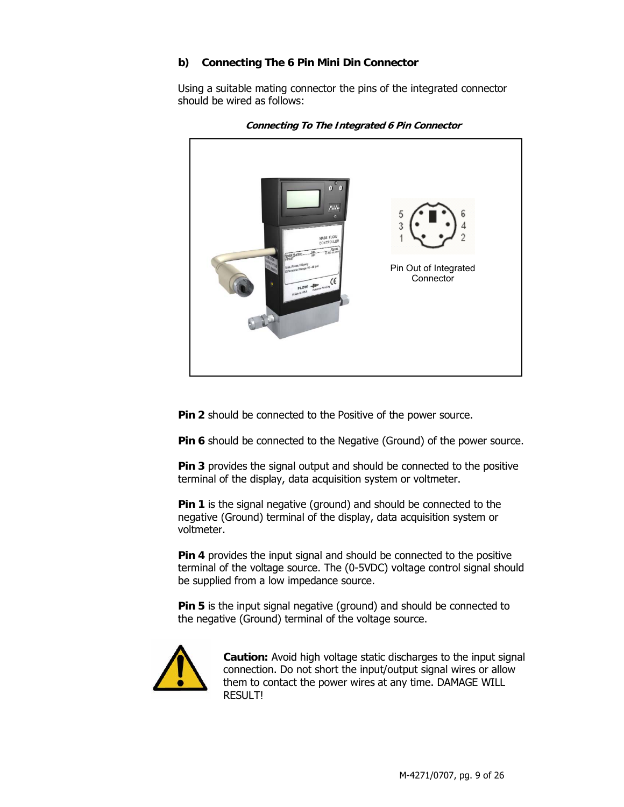#### **b) Connecting The 6 Pin Mini Din Connector**

Using a suitable mating connector the pins of the integrated connector should be wired as follows:



**Connecting To The Integrated 6 Pin Connector** 

**Pin 2** should be connected to the Positive of the power source.

**Pin 6** should be connected to the Negative (Ground) of the power source.

**Pin 3** provides the signal output and should be connected to the positive terminal of the display, data acquisition system or voltmeter.

**Pin 1** is the signal negative (ground) and should be connected to the negative (Ground) terminal of the display, data acquisition system or voltmeter.

**Pin 4** provides the input signal and should be connected to the positive terminal of the voltage source. The (0-5VDC) voltage control signal should be supplied from a low impedance source.

**Pin 5** is the input signal negative (ground) and should be connected to the negative (Ground) terminal of the voltage source.



**Caution:** Avoid high voltage static discharges to the input signal connection. Do not short the input/output signal wires or allow them to contact the power wires at any time. DAMAGE WILL RESULT!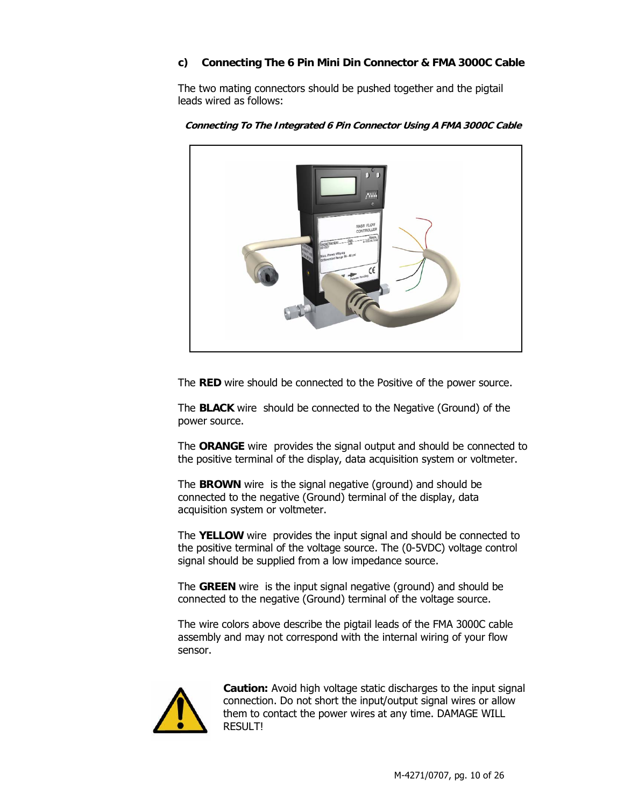#### **c) Connecting The 6 Pin Mini Din Connector & FMA 3000C Cable**

The two mating connectors should be pushed together and the pigtail leads wired as follows:



**Connecting To The Integrated 6 Pin Connector Using A FMA 3000C Cable** 

The **RED** wire should be connected to the Positive of the power source.

The **BLACK** wire should be connected to the Negative (Ground) of the power source.

The **ORANGE** wire provides the signal output and should be connected to the positive terminal of the display, data acquisition system or voltmeter.

The **BROWN** wire is the signal negative (ground) and should be connected to the negative (Ground) terminal of the display, data acquisition system or voltmeter.

The **YELLOW** wire provides the input signal and should be connected to the positive terminal of the voltage source. The (0-5VDC) voltage control signal should be supplied from a low impedance source.

The **GREEN** wire is the input signal negative (ground) and should be connected to the negative (Ground) terminal of the voltage source.

The wire colors above describe the pigtail leads of the FMA 3000C cable assembly and may not correspond with the internal wiring of your flow sensor.



**Caution:** Avoid high voltage static discharges to the input signal connection. Do not short the input/output signal wires or allow them to contact the power wires at any time. DAMAGE WILL RESULT!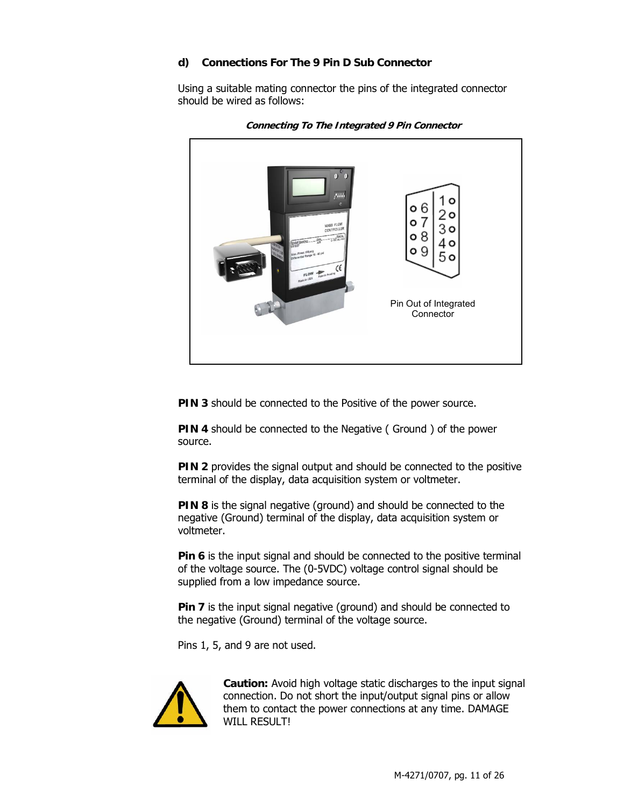#### **d) Connections For The 9 Pin D Sub Connector**

Using a suitable mating connector the pins of the integrated connector should be wired as follows:





**PIN 3** should be connected to the Positive of the power source.

**PIN 4** should be connected to the Negative (Ground ) of the power source.

**PIN 2** provides the signal output and should be connected to the positive terminal of the display, data acquisition system or voltmeter.

**PIN 8** is the signal negative (ground) and should be connected to the negative (Ground) terminal of the display, data acquisition system or voltmeter.

**Pin 6** is the input signal and should be connected to the positive terminal of the voltage source. The (0-5VDC) voltage control signal should be supplied from a low impedance source.

**Pin 7** is the input signal negative (ground) and should be connected to the negative (Ground) terminal of the voltage source.

Pins 1, 5, and 9 are not used.



**Caution:** Avoid high voltage static discharges to the input signal connection. Do not short the input/output signal pins or allow them to contact the power connections at any time. DAMAGE WILL RESULTI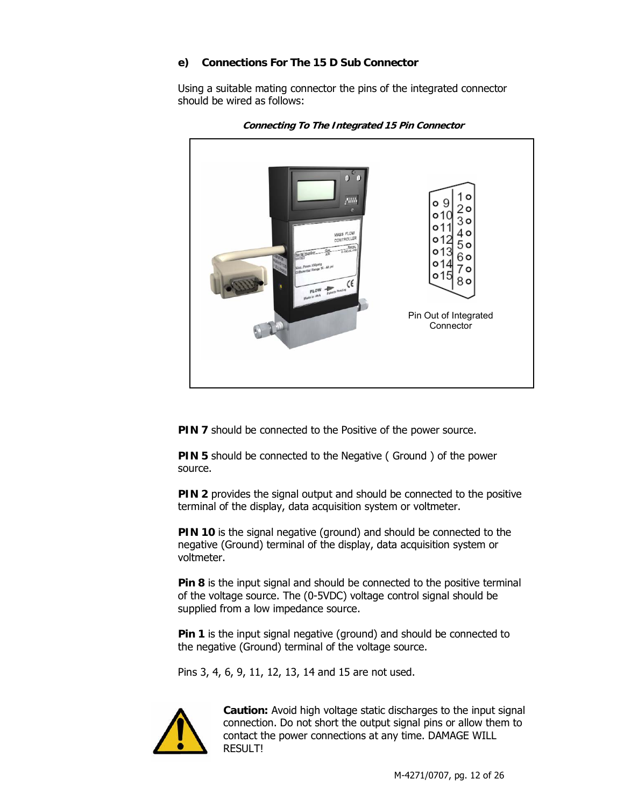#### **e) Connections For The 15 D Sub Connector**

Using a suitable mating connector the pins of the integrated connector should be wired as follows:



**Connecting To The Integrated 15 Pin Connector** 

**PIN 7** should be connected to the Positive of the power source.

**PIN 5** should be connected to the Negative (Ground) of the power source.

**PIN 2** provides the signal output and should be connected to the positive terminal of the display, data acquisition system or voltmeter.

**PIN 10** is the signal negative (ground) and should be connected to the negative (Ground) terminal of the display, data acquisition system or voltmeter.

**Pin 8** is the input signal and should be connected to the positive terminal of the voltage source. The (0-5VDC) voltage control signal should be supplied from a low impedance source.

**Pin 1** is the input signal negative (ground) and should be connected to the negative (Ground) terminal of the voltage source.

Pins 3, 4, 6, 9, 11, 12, 13, 14 and 15 are not used.



**Caution:** Avoid high voltage static discharges to the input signal connection. Do not short the output signal pins or allow them to contact the power connections at any time. DAMAGE WILL **RESULTI**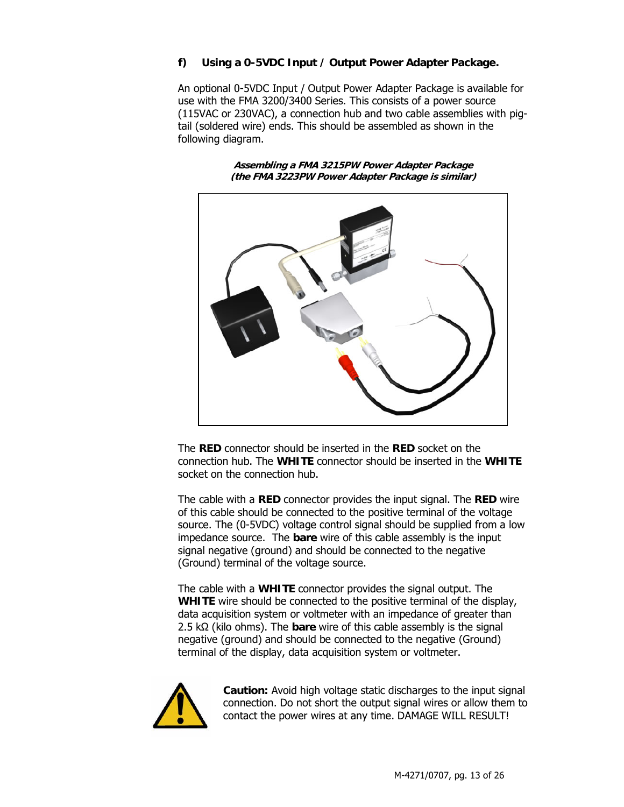#### **f) Using a 0-5VDC Input / Output Power Adapter Package.**

An optional 0-5VDC Input / Output Power Adapter Package is available for use with the FMA 3200/3400 Series. This consists of a power source (115VAC or 230VAC), a connection hub and two cable assemblies with pigtail (soldered wire) ends. This should be assembled as shown in the following diagram.

> **Assembling a FMA 3215PW Power Adapter Package (the FMA 3223PW Power Adapter Package is similar)**



The **RED** connector should be inserted in the **RED** socket on the connection hub. The **WHITE** connector should be inserted in the **WHITE** socket on the connection hub.

The cable with a **RED** connector provides the input signal. The **RED** wire of this cable should be connected to the positive terminal of the voltage source. The (0-5VDC) voltage control signal should be supplied from a low impedance source. The **bare** wire of this cable assembly is the input signal negative (ground) and should be connected to the negative (Ground) terminal of the voltage source.

The cable with a **WHITE** connector provides the signal output. The **WHITE** wire should be connected to the positive terminal of the display, data acquisition system or voltmeter with an impedance of greater than 2.5 kΩ (kilo ohms). The **bare** wire of this cable assembly is the signal negative (ground) and should be connected to the negative (Ground) terminal of the display, data acquisition system or voltmeter.



**Caution:** Avoid high voltage static discharges to the input signal connection. Do not short the output signal wires or allow them to contact the power wires at any time. DAMAGE WILL RESULT!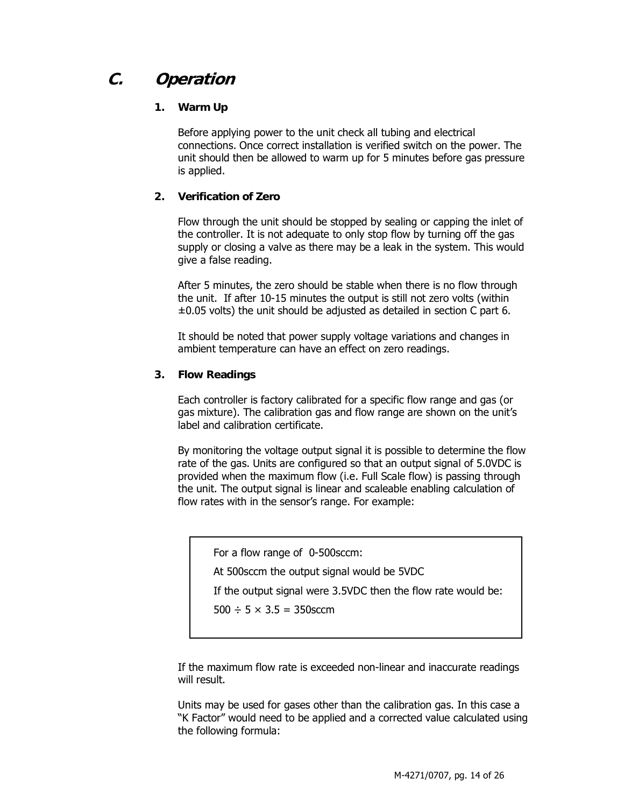# **C. Operation**

#### **1. Warm Up**

Before applying power to the unit check all tubing and electrical connections. Once correct installation is verified switch on the power. The unit should then be allowed to warm up for 5 minutes before gas pressure is applied.

#### **2. Verification of Zero**

Flow through the unit should be stopped by sealing or capping the inlet of the controller. It is not adequate to only stop flow by turning off the gas supply or closing a valve as there may be a leak in the system. This would give a false reading.

After 5 minutes, the zero should be stable when there is no flow through the unit. If after 10-15 minutes the output is still not zero volts (within  $\pm 0.05$  volts) the unit should be adjusted as detailed in section C part 6.

It should be noted that power supply voltage variations and changes in ambient temperature can have an effect on zero readings.

#### **3. Flow Readings**

Each controller is factory calibrated for a specific flow range and gas (or gas mixture). The calibration gas and flow range are shown on the unit's label and calibration certificate.

By monitoring the voltage output signal it is possible to determine the flow rate of the gas. Units are configured so that an output signal of 5.0VDC is provided when the maximum flow (i.e. Full Scale flow) is passing through the unit. The output signal is linear and scaleable enabling calculation of flow rates with in the sensor's range. For example:

For a flow range of 0-500sccm:

At 500sccm the output signal would be 5VDC

If the output signal were 3.5VDC then the flow rate would be:

 $500 \div 5 \times 3.5 = 350$  sccm

If the maximum flow rate is exceeded non-linear and inaccurate readings will result.

Units may be used for gases other than the calibration gas. In this case a "K Factor" would need to be applied and a corrected value calculated using the following formula: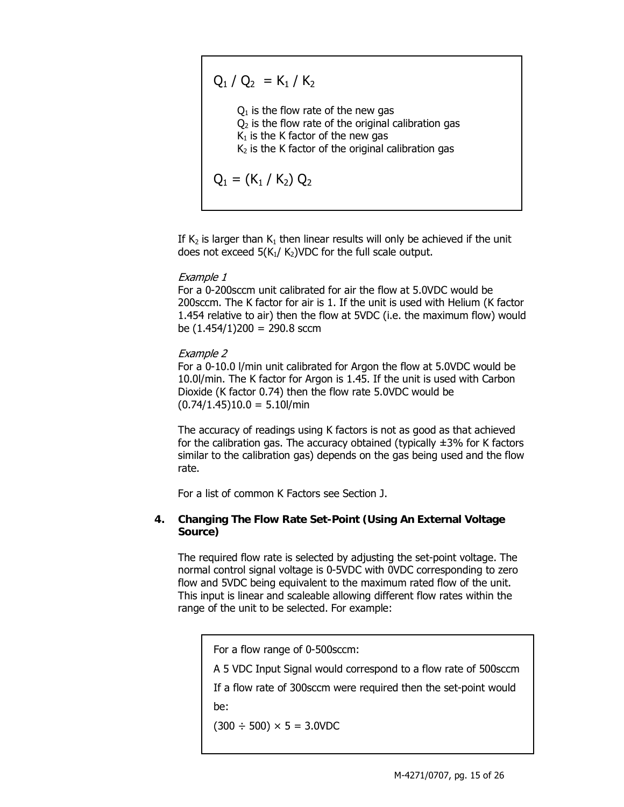$Q_1 / Q_2 = K_1 / K_2$  $Q_1$  is the flow rate of the new gas  $Q<sub>2</sub>$  is the flow rate of the original calibration gas  $K_1$  is the K factor of the new gas  $K<sub>2</sub>$  is the K factor of the original calibration gas  $Q_1 = (K_1 / K_2) Q_2$ 

If  $K_2$  is larger than  $K_1$  then linear results will only be achieved if the unit does not exceed  $5(K_1/K_2)$ VDC for the full scale output.

#### Example 1

For a 0-200sccm unit calibrated for air the flow at 5.0VDC would be 200sccm. The K factor for air is 1. If the unit is used with Helium (K factor 1.454 relative to air) then the flow at 5VDC (i.e. the maximum flow) would be  $(1.454/1)200 = 290.8$  sccm

#### Example 2

For a 0-10.0 l/min unit calibrated for Argon the flow at 5.0VDC would be 10.0l/min. The K factor for Argon is 1.45. If the unit is used with Carbon Dioxide (K factor 0.74) then the flow rate 5.0VDC would be  $(0.74/1.45)10.0 = 5.10$ /min

The accuracy of readings using K factors is not as good as that achieved for the calibration gas. The accuracy obtained (typically  $\pm 3\%$  for K factors similar to the calibration gas) depends on the gas being used and the flow rate.

For a list of common K Factors see Section J.

#### **4. Changing The Flow Rate Set-Point (Using An External Voltage Source)**

The required flow rate is selected by adjusting the set-point voltage. The normal control signal voltage is 0-5VDC with 0VDC corresponding to zero flow and 5VDC being equivalent to the maximum rated flow of the unit. This input is linear and scaleable allowing different flow rates within the range of the unit to be selected. For example:

For a flow range of 0-500sccm:

A 5 VDC Input Signal would correspond to a flow rate of 500sccm

If a flow rate of 300sccm were required then the set-point would be:

 $(300 \div 500) \times 5 = 3.0$ VDC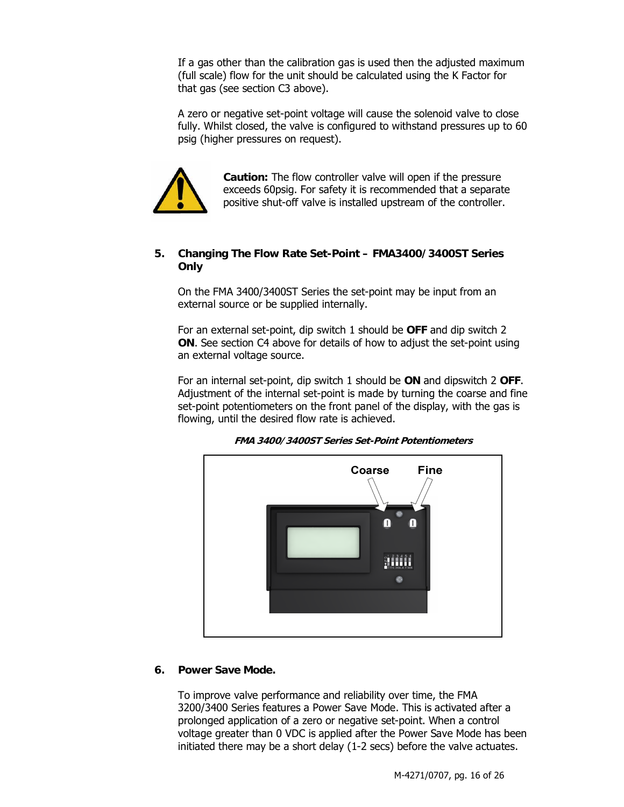If a gas other than the calibration gas is used then the adjusted maximum (full scale) flow for the unit should be calculated using the K Factor for that gas (see section C3 above).

A zero or negative set-point voltage will cause the solenoid valve to close fully. Whilst closed, the valve is configured to withstand pressures up to 60 psig (higher pressures on request).



**Caution:** The flow controller valve will open if the pressure exceeds 60psig. For safety it is recommended that a separate positive shut-off valve is installed upstream of the controller.

#### **5. Changing The Flow Rate Set-Point – FMA3400/3400ST Series Only**

On the FMA 3400/3400ST Series the set-point may be input from an external source or be supplied internally.

For an external set-point, dip switch 1 should be **OFF** and dip switch 2 **ON**. See section C4 above for details of how to adjust the set-point using an external voltage source.

For an internal set-point, dip switch 1 should be **ON** and dipswitch 2 **OFF**. Adjustment of the internal set-point is made by turning the coarse and fine set-point potentiometers on the front panel of the display, with the gas is flowing, until the desired flow rate is achieved.



**FMA 3400/3400ST Series Set-Point Potentiometers** 

#### **6. Power Save Mode.**

To improve valve performance and reliability over time, the FMA 3200/3400 Series features a Power Save Mode. This is activated after a prolonged application of a zero or negative set-point. When a control voltage greater than 0 VDC is applied after the Power Save Mode has been initiated there may be a short delay (1-2 secs) before the valve actuates.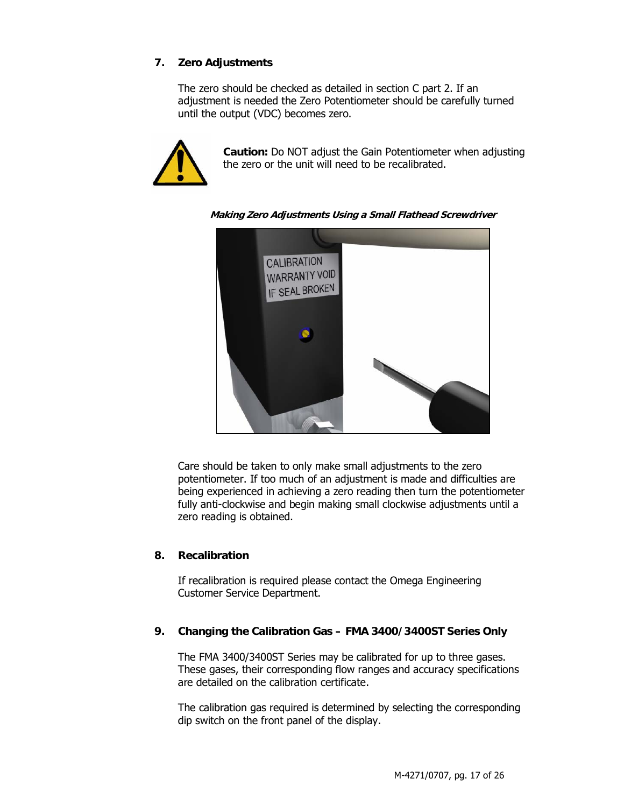#### **7. Zero Adjustments**

The zero should be checked as detailed in section C part 2. If an adjustment is needed the Zero Potentiometer should be carefully turned until the output (VDC) becomes zero.



**Caution:** Do NOT adjust the Gain Potentiometer when adjusting the zero or the unit will need to be recalibrated.

**Making Zero Adjustments Using a Small Flathead Screwdriver** 



Care should be taken to only make small adjustments to the zero potentiometer. If too much of an adjustment is made and difficulties are being experienced in achieving a zero reading then turn the potentiometer fully anti-clockwise and begin making small clockwise adjustments until a zero reading is obtained.

#### **8. Recalibration**

If recalibration is required please contact the Omega Engineering Customer Service Department.

#### **9. Changing the Calibration Gas – FMA 3400/3400ST Series Only**

The FMA 3400/3400ST Series may be calibrated for up to three gases. These gases, their corresponding flow ranges and accuracy specifications are detailed on the calibration certificate.

The calibration gas required is determined by selecting the corresponding dip switch on the front panel of the display.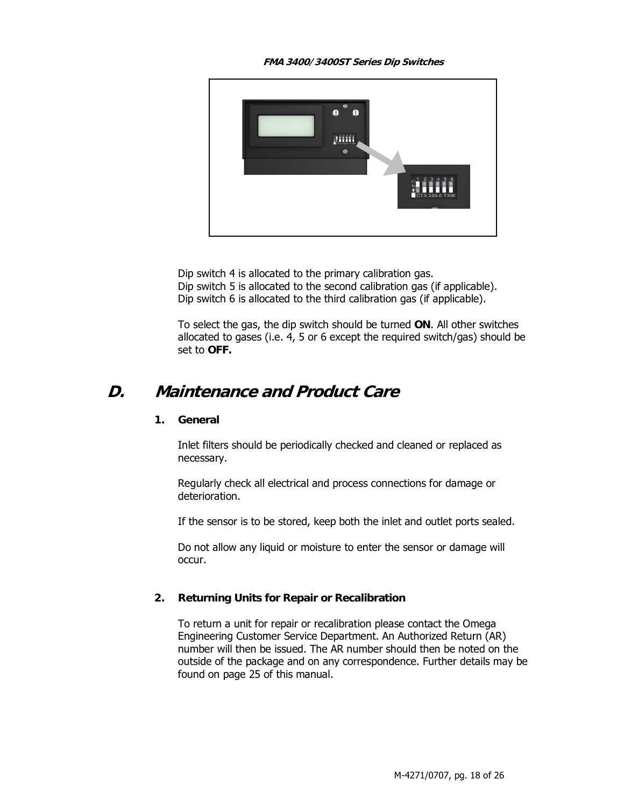**FMA 3400/3400ST Series Dip Switches** 



Dip switch 4 is allocated to the primary calibration gas. Dip switch 5 is allocated to the second calibration gas (if applicable). Dip switch 6 is allocated to the third calibration gas (if applicable).

To select the gas, the dip switch should be turned **ON**. All other switches allocated to gases (i.e. 4, 5 or 6 except the required switch/gas) should be set to **OFF.** 

## **D. Maintenance and Product Care**

#### **1. General**

Inlet filters should be periodically checked and cleaned or replaced as necessary.

Regularly check all electrical and process connections for damage or deterioration.

If the sensor is to be stored, keep both the inlet and outlet ports sealed.

Do not allow any liquid or moisture to enter the sensor or damage will occur.

#### **2. Returning Units for Repair or Recalibration**

To return a unit for repair or recalibration please contact the Omega Engineering Customer Service Department. An Authorized Return (AR) number will then be issued. The AR number should then be noted on the outside of the package and on any correspondence. Further details may be found on page 25 of this manual.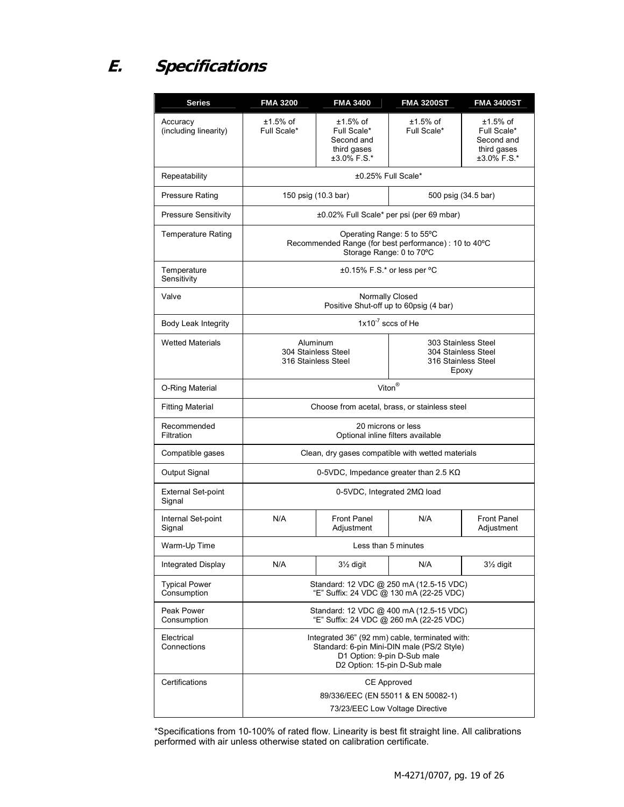# **E. Specifications**

| <b>Series</b>                       | <b>FMA 3200</b>                                                                                                                                             | <b>FMA 3400</b>                                                        | <b>FMA 3200ST</b>                                                          | <b>FMA 3400ST</b>                                                      |
|-------------------------------------|-------------------------------------------------------------------------------------------------------------------------------------------------------------|------------------------------------------------------------------------|----------------------------------------------------------------------------|------------------------------------------------------------------------|
| Accuracy<br>(including linearity)   | ±1.5% of<br>Full Scale*                                                                                                                                     | $±1.5\%$ of<br>Full Scale*<br>Second and<br>third gases<br>±3.0% F.S.* | ±1.5% of<br>Full Scale*                                                    | $±1.5\%$ of<br>Full Scale*<br>Second and<br>third gases<br>±3.0% F.S.* |
| Repeatability                       |                                                                                                                                                             |                                                                        | ±0.25% Full Scale*                                                         |                                                                        |
| <b>Pressure Rating</b>              |                                                                                                                                                             | 150 psig (10.3 bar)                                                    |                                                                            | 500 psig (34.5 bar)                                                    |
| <b>Pressure Sensitivity</b>         | ±0.02% Full Scale* per psi (per 69 mbar)                                                                                                                    |                                                                        |                                                                            |                                                                        |
| <b>Temperature Rating</b>           | Operating Range: 5 to 55°C<br>Recommended Range (for best performance) : 10 to 40°C<br>Storage Range: 0 to 70°C                                             |                                                                        |                                                                            |                                                                        |
| Temperature<br>Sensitivity          | ±0.15% F.S.* or less per °C                                                                                                                                 |                                                                        |                                                                            |                                                                        |
| Valve                               | Normally Closed<br>Positive Shut-off up to 60psig (4 bar)                                                                                                   |                                                                        |                                                                            |                                                                        |
| Body Leak Integrity                 | $1x10^{-7}$ sccs of He                                                                                                                                      |                                                                        |                                                                            |                                                                        |
| <b>Wetted Materials</b>             | Aluminum<br>304 Stainless Steel<br>316 Stainless Steel                                                                                                      |                                                                        | 303 Stainless Steel<br>304 Stainless Steel<br>316 Stainless Steel<br>Epoxy |                                                                        |
| O-Ring Material                     | Viton <sup>®</sup>                                                                                                                                          |                                                                        |                                                                            |                                                                        |
| <b>Fitting Material</b>             | Choose from acetal, brass, or stainless steel                                                                                                               |                                                                        |                                                                            |                                                                        |
| Recommended<br>Filtration           | 20 microns or less<br>Optional inline filters available                                                                                                     |                                                                        |                                                                            |                                                                        |
| Compatible gases                    | Clean, dry gases compatible with wetted materials                                                                                                           |                                                                        |                                                                            |                                                                        |
| Output Signal                       | 0-5VDC, Impedance greater than 2.5 $K\Omega$                                                                                                                |                                                                        |                                                                            |                                                                        |
| <b>External Set-point</b><br>Signal | 0-5VDC, Integrated 2MΩ load                                                                                                                                 |                                                                        |                                                                            |                                                                        |
| Internal Set-point<br>Signal        | N/A                                                                                                                                                         | <b>Front Panel</b><br>Adjustment                                       | N/A                                                                        | <b>Front Panel</b><br>Adjustment                                       |
| Warm-Up Time                        |                                                                                                                                                             | Less than 5 minutes                                                    |                                                                            |                                                                        |
| Integrated Display                  | N/A                                                                                                                                                         | $3\frac{1}{2}$ digit                                                   | N/A                                                                        | 31/ <sub>2</sub> digit                                                 |
| <b>Typical Power</b><br>Consumption | Standard: 12 VDC @ 250 mA (12.5-15 VDC)<br>"E" Suffix: 24 VDC @ 130 mA (22-25 VDC)                                                                          |                                                                        |                                                                            |                                                                        |
| Peak Power<br>Consumption           | Standard: 12 VDC @ 400 mA (12.5-15 VDC)<br>"E" Suffix: 24 VDC @ 260 mA (22-25 VDC)                                                                          |                                                                        |                                                                            |                                                                        |
| Electrical<br>Connections           | Integrated 36" (92 mm) cable, terminated with:<br>Standard: 6-pin Mini-DIN male (PS/2 Style)<br>D1 Option: 9-pin D-Sub male<br>D2 Option: 15-pin D-Sub male |                                                                        |                                                                            |                                                                        |
| Certifications                      | CE Approved<br>89/336/EEC (EN 55011 & EN 50082-1)<br>73/23/EEC Low Voltage Directive                                                                        |                                                                        |                                                                            |                                                                        |

\*Specifications from 10-100% of rated flow. Linearity is best fit straight line. All calibrations performed with air unless otherwise stated on calibration certificate.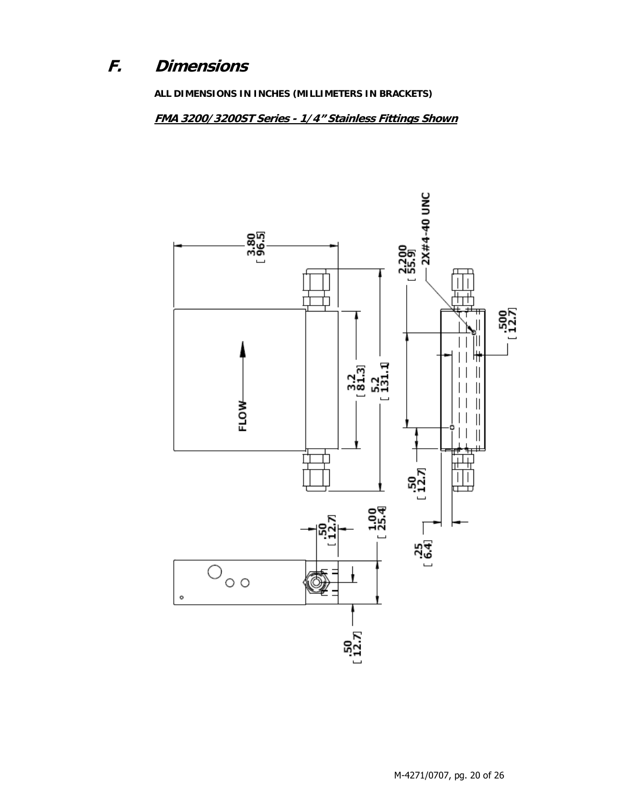#### F. **Dimensions**

ALL DIMENSIONS IN INCHES (MILLIMETERS IN BRACKETS)

FMA 3200/3200ST Series - 1/4" Stainless Fittings Shown

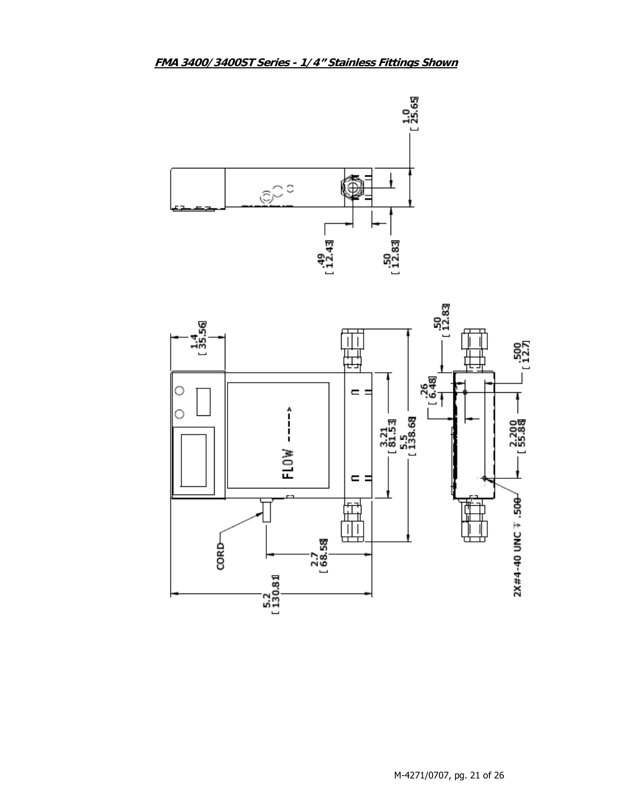

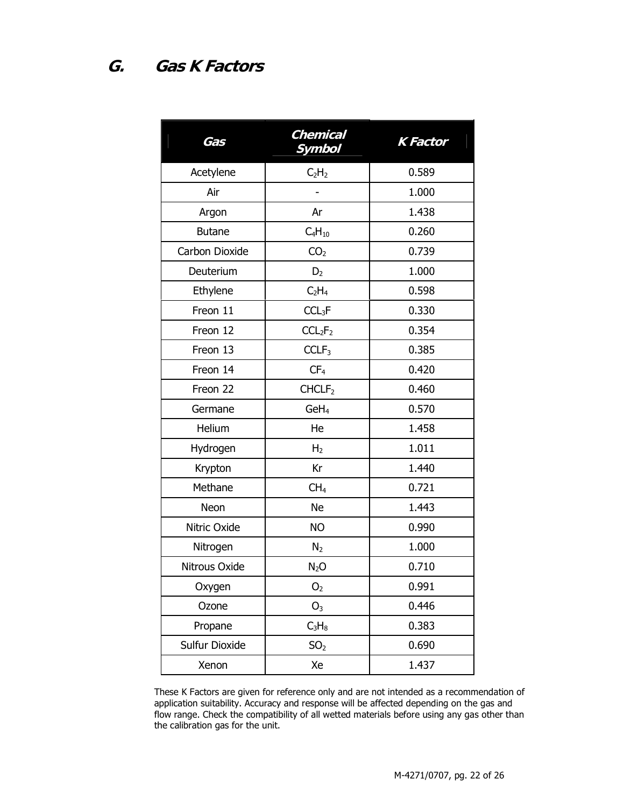| Gas            | <b>Chemical</b><br>Symbol       | <b>K</b> Factor |
|----------------|---------------------------------|-----------------|
| Acetylene      | C <sub>2</sub> H <sub>2</sub>   | 0.589           |
| Air            |                                 | 1.000           |
| Argon          | Ar                              | 1.438           |
| <b>Butane</b>  | $C_4H_{10}$                     | 0.260           |
| Carbon Dioxide | CO <sub>2</sub>                 | 0.739           |
| Deuterium      | D <sub>2</sub>                  | 1.000           |
| Ethylene       | C <sub>2</sub> H <sub>4</sub>   | 0.598           |
| Freon 11       | CCL <sub>3</sub> F              | 0.330           |
| Freon 12       | CCL <sub>2</sub> F <sub>2</sub> | 0.354           |
| Freon 13       | CCLF <sub>3</sub>               | 0.385           |
| Freon 14       | CF <sub>4</sub>                 | 0.420           |
| Freon 22       | CHCLF <sub>2</sub>              | 0.460           |
| Germane        | GeH <sub>4</sub>                | 0.570           |
| Helium         | He                              | 1.458           |
| Hydrogen       | H <sub>2</sub>                  | 1.011           |
| Krypton        | Kr                              | 1.440           |
| Methane        | CH <sub>4</sub>                 | 0.721           |
| Neon           | <b>Ne</b>                       | 1.443           |
| Nitric Oxide   | <b>NO</b>                       | 0.990           |
| Nitrogen       | N <sub>2</sub>                  | 1.000           |
| Nitrous Oxide  | $N_2O$                          | 0.710           |
| Oxygen         | O <sub>2</sub>                  | 0.991           |
| Ozone          | O <sub>3</sub>                  | 0.446           |
| Propane        | $C_3H_8$                        | 0.383           |
| Sulfur Dioxide | SO <sub>2</sub>                 | 0.690           |
| Xenon          | Xe                              | 1.437           |

These K Factors are given for reference only and are not intended as a recommendation of application suitability. Accuracy and response will be affected depending on the gas and flow range. Check the compatibility of all wetted materials before using any gas other than the calibration gas for the unit.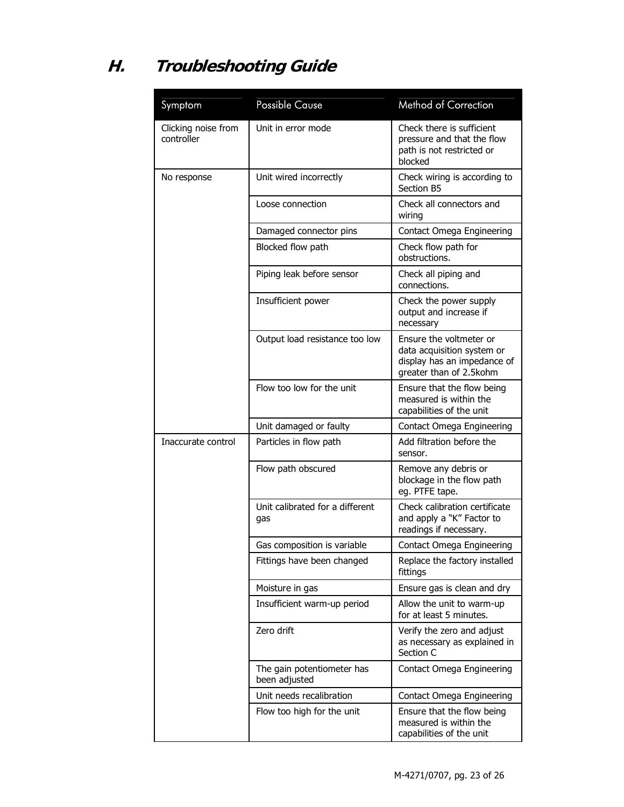# **H. Troubleshooting Guide**

| Symptom                           | <b>Possible Cause</b>                       | Method of Correction                                                                                            |
|-----------------------------------|---------------------------------------------|-----------------------------------------------------------------------------------------------------------------|
| Clicking noise from<br>controller | Unit in error mode                          | Check there is sufficient<br>pressure and that the flow<br>path is not restricted or<br>blocked                 |
| No response                       | Unit wired incorrectly                      | Check wiring is according to<br>Section B5                                                                      |
|                                   | Loose connection                            | Check all connectors and<br>wiring                                                                              |
|                                   | Damaged connector pins                      | Contact Omega Engineering                                                                                       |
|                                   | Blocked flow path                           | Check flow path for<br>obstructions.                                                                            |
|                                   | Piping leak before sensor                   | Check all piping and<br>connections.                                                                            |
|                                   | Insufficient power                          | Check the power supply<br>output and increase if<br>necessary                                                   |
|                                   | Output load resistance too low              | Ensure the voltmeter or<br>data acquisition system or<br>display has an impedance of<br>greater than of 2.5kohm |
|                                   | Flow too low for the unit                   | Ensure that the flow being<br>measured is within the<br>capabilities of the unit                                |
|                                   | Unit damaged or faulty                      | Contact Omega Engineering                                                                                       |
| Inaccurate control                | Particles in flow path                      | Add filtration before the<br>sensor.                                                                            |
|                                   | Flow path obscured                          | Remove any debris or<br>blockage in the flow path<br>eg. PTFE tape.                                             |
|                                   | Unit calibrated for a different<br>gas      | Check calibration certificate<br>and apply a "K" Factor to<br>readings if necessary.                            |
|                                   | Gas composition is variable                 | Contact Omega Engineering                                                                                       |
|                                   | Fittings have been changed                  | Replace the factory installed<br>fittings                                                                       |
|                                   | Moisture in gas                             | Ensure gas is clean and dry                                                                                     |
|                                   | Insufficient warm-up period                 | Allow the unit to warm-up<br>for at least 5 minutes.                                                            |
|                                   | Zero drift                                  | Verify the zero and adjust<br>as necessary as explained in<br>Section C                                         |
|                                   | The gain potentiometer has<br>been adjusted | Contact Omega Engineering                                                                                       |
|                                   | Unit needs recalibration                    | Contact Omega Engineering                                                                                       |
|                                   | Flow too high for the unit                  | Ensure that the flow being<br>measured is within the<br>capabilities of the unit                                |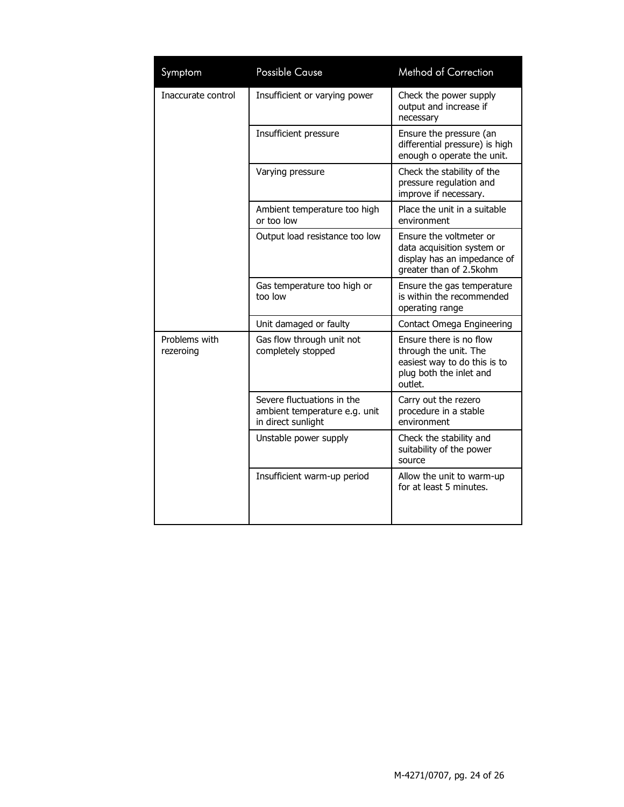| Symptom                    | <b>Possible Cause</b>                                                             | <b>Method of Correction</b>                                                                                            |
|----------------------------|-----------------------------------------------------------------------------------|------------------------------------------------------------------------------------------------------------------------|
| Inaccurate control         | Insufficient or varying power                                                     | Check the power supply<br>output and increase if<br>necessary                                                          |
|                            | Insufficient pressure                                                             | Ensure the pressure (an<br>differential pressure) is high<br>enough o operate the unit.                                |
|                            | Varying pressure                                                                  | Check the stability of the<br>pressure regulation and<br>improve if necessary.                                         |
|                            | Ambient temperature too high<br>or too low                                        | Place the unit in a suitable<br>environment                                                                            |
|                            | Output load resistance too low                                                    | Ensure the voltmeter or<br>data acquisition system or<br>display has an impedance of<br>greater than of 2.5kohm        |
|                            | Gas temperature too high or<br>too low                                            | Ensure the gas temperature<br>is within the recommended<br>operating range                                             |
|                            | Unit damaged or faulty                                                            | Contact Omega Engineering                                                                                              |
| Problems with<br>rezeroing | Gas flow through unit not<br>completely stopped                                   | Ensure there is no flow<br>through the unit. The<br>easiest way to do this is to<br>plug both the inlet and<br>outlet. |
|                            | Severe fluctuations in the<br>ambient temperature e.g. unit<br>in direct sunlight | Carry out the rezero<br>procedure in a stable<br>environment                                                           |
|                            | Unstable power supply                                                             | Check the stability and<br>suitability of the power<br>source                                                          |
|                            | Insufficient warm-up period                                                       | Allow the unit to warm-up<br>for at least 5 minutes.                                                                   |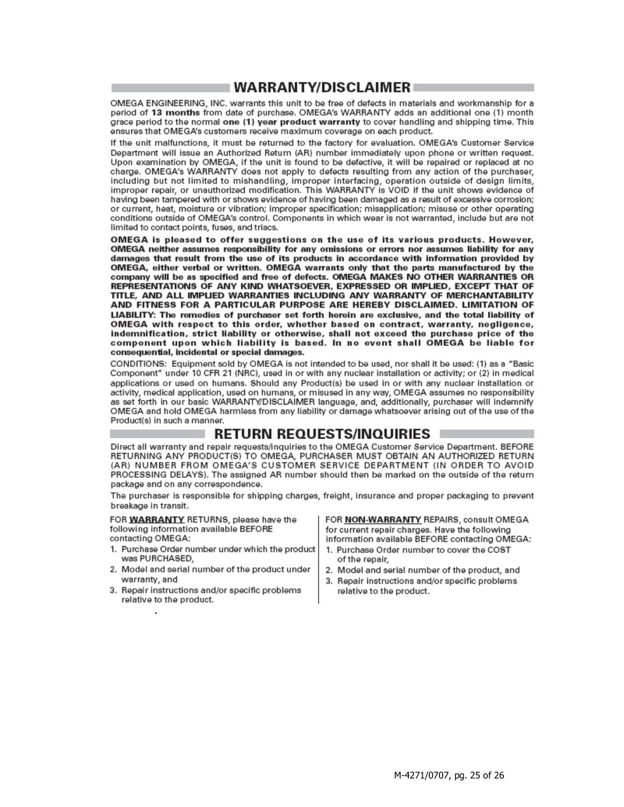### ⊩WARRANTY/DISCLAIMER ≡

OMEGA ENGINEERING, INC. warrants this unit to be free of defects in materials and workmanship for a period of 13 months from date of purchase. OMEGA's WARRANTY adds an additional one (1) month grace period to the normal one (1) year product warranty to cover handling and shipping time. This ensures that OMEGA's customers receive maximum coverage on each product.

If the unit malfunctions, it must be returned to the factory for evaluation. OMEGA's Customer Service Department will issue an Authorized Return (AR) number immediately upon phone or written request. Upon examination by OMEGA, if the unit is found to be defective, it will be repaired or replaced at no charge. OMEGA's WARRANTY does not apply to defects resulting from any action of the purchaser, including but not limited to mishandling, improper interfacing, operation outside of design limits, improper repair, or unauthorized modification. This WARRANTY is VOID if the unit shows evidence of having been tampered with or shows evidence of having been damaged as a result of excessive corrosion; or current, heat, moisture or vibration; improper specification; misapplication; misuse or other operating conditions outside of OMEGA's control. Components in which wear is not warranted, include but are not limited to contact points, fuses, and triacs.

OMEGA is pleased to offer suggestions on the use of its various products. However, OMEGA neither assumes responsibility for any omissions or errors nor assumes liability for any damages that result from the use of its products in accordance with information provided by OMEGA, either verbal or written. OMEGA warrants only that the parts manufactured by the company will be as specified and free of defects. OMEGA MAKES NO OTHER WARRANTIES OR REPRESENTATIONS OF ANY KIND WHATSOEVER, EXPRESSED OR IMPLIED, EXCEPT THAT OF TITLE, AND ALL IMPLIED WARRANTIES INCLUDING ANY WARRANTY OF MERCHANTABILITY AND FITNESS FOR A PARTICULAR PURPOSE ARE HEREBY DISCLAIMED. LIMITATION OF LIABILITY: The remedies of purchaser set forth herein are exclusive, and the total liability of OMEGA with respect to this order, whether based on contract, warranty, negligence, indemnification, strict liability or otherwise, shall not exceed the purchase price of the component upon which liability is based. In no event shall OMEGA be liable for consequential, incidental or special damages.

CONDITIONS: Equipment sold by OMEGA is not intended to be used, nor shall it be used: (1) as a "Basic Component" under 10 CFR 21 (NRC), used in or with any nuclear installation or activity; or (2) in medical applications or used on humans. Should any Product(s) be used in or with any nuclear installation or activity, medical application, used on humans, or misused in any way, OMEGA assumes no responsibility as set forth in our basic WARRANTY/DISCLAIMER language, and, additionally, purchaser will indemnify OMEGA and hold OMEGA harmless from any liability or damage whatsoever arising out of the use of the Product(s) in such a manner.

#### **RETURN REQUESTS/INQUIRIES**

Direct all warranty and repair requests/inquiries to the OMEGA Customer Service Department, BEFORE RETURNING ANY PRODUCT(S) TO OMEGA, PURCHASER MUST OBTAIN AN AUTHORIZED RETURN (AR) NUMBER FROM OMEGA'S CUSTOMER SERVICE DEPARTMENT (IN ORDER TO AVOID PROCESSING DELAYS). The assigned AR number should then be marked on the outside of the return package and on any correspondence.

The purchaser is responsible for shipping charges, freight, insurance and proper packaging to prevent breakage in transit.

FOR WARRANTY RETURNS, please have the following information available BEFORE contacting OMEGA:

- 1. Purchase Order number under which the product was PURCHASED,
- 2. Model and serial number of the product under warranty, and
- 3. Repair instructions and/or specific problems relative to the product.

FOR NON-WARRANTY REPAIRS, consult OMEGA for current repair charges. Have the following information available BEFORE contacting OMEGA:

- 1. Purchase Order number to cover the COST of the repair,
- 2. Model and serial number of the product, and
- 3. Repair instructions and/or specific problems relative to the product.